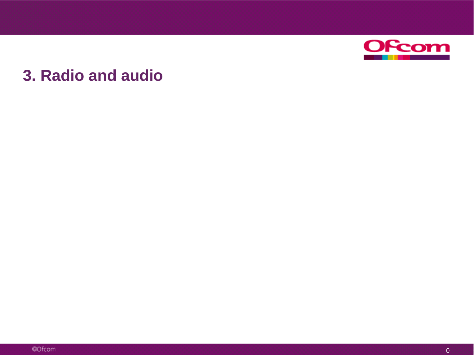

## **3. Radio and audio**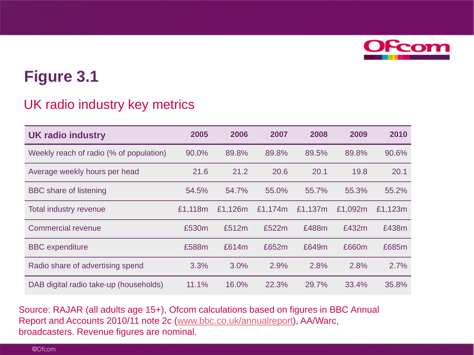

### UK radio industry key metrics

| <b>UK radio industry</b>                | 2005    | 2006    | 2007    | 2008    | 2009    | 2010    |
|-----------------------------------------|---------|---------|---------|---------|---------|---------|
| Weekly reach of radio (% of population) | 90.0%   | 89.8%   | 89.8%   | 89.5%   | 89.8%   | 90.6%   |
| Average weekly hours per head           | 21.6    | 21.2    | 20.6    | 20.1    | 19.8    | 20.1    |
| <b>BBC</b> share of listening           | 54.5%   | 54.7%   | 55.0%   | 55.7%   | 55.3%   | 55.2%   |
| <b>Total industry revenue</b>           | £1,118m | £1,126m | £1,174m | £1,137m | £1,092m | £1,123m |
| <b>Commercial revenue</b>               | £530m   | £512m   | £522m   | £488m   | £432m   | £438m   |
| <b>BBC</b> expenditure                  | £588m   | £614m   | £652m   | £649m   | £660m   | £685m   |
| Radio share of advertising spend        | 3.3%    | 3.0%    | 2.9%    | 2.8%    | 2.8%    | 2.7%    |
| DAB digital radio take-up (households)  | 11.1%   | 16.0%   | 22.3%   | 29.7%   | 33.4%   | 35.8%   |

Source: RAJAR (all adults age 15+), Ofcom calculations based on figures in BBC Annual Report and Accounts 2010/11 note 2c [\(www.bbc.co.uk/annualreport\)](http://www.bbc.co.uk/annualreport), AA/Warc, broadcasters. Revenue figures are nominal.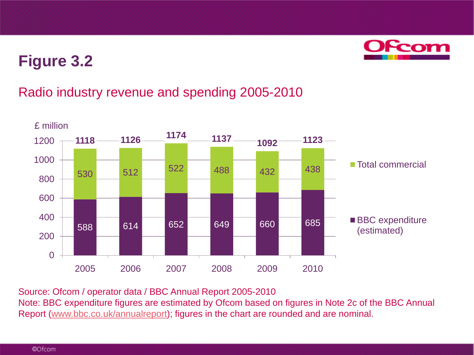

### Radio industry revenue and spending 2005-2010



Source: Ofcom / operator data / BBC Annual Report 2005-2010

Note: BBC expenditure figures are estimated by Ofcom based on figures in Note 2c of the BBC Annual Report [\(www.bbc.co.uk/annualreport\)](http://www.bbc.co.uk/annualreport); figures in the chart are rounded and are nominal.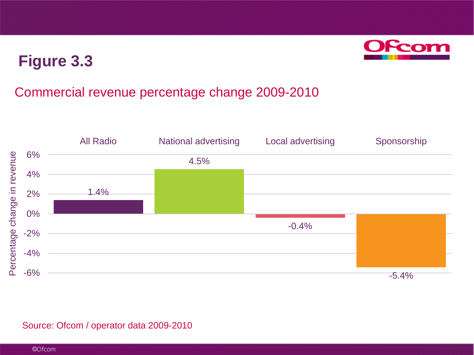

### Commercial revenue percentage change 2009-2010



#### Source: Ofcom / operator data 2009-2010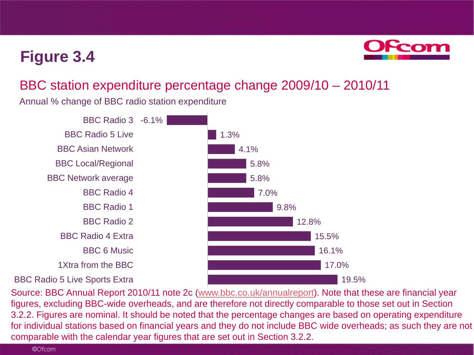

### BBC station expenditure percentage change 2009/10 – 2010/11

Annual % change of BBC radio station expenditure extending the state of the state of the state of the state of

BBC Radio 3 -6.1% BBC Radio 5 Live BBC Asian Network BBC Local/Regional BBC Network average BBC Radio 4 BBC Radio 1 BBC Radio 2 BBC Radio 4 Extra BBC 6 Music 1Xtra from the BBC

BBC Radio 5 Live Sports Extra



Source: BBC Annual Report 2010/11 note 2c [\(www.bbc.co.uk/annualreport\)](http://www.bbc.co.uk/annualreport). Note that these are financial year figures, excluding BBC-wide overheads, and are therefore not directly comparable to those set out in Section 3.2.2. Figures are nominal. It should be noted that the percentage changes are based on operating expenditure for individual stations based on financial years and they do not include BBC wide overheads; as such they are not comparable with the calendar year figures that are set out in Section 3.2.2.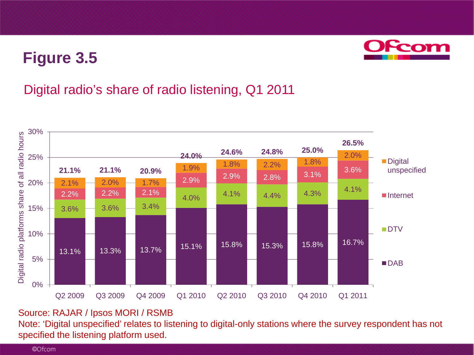

### Digital radio's share of radio listening, Q1 2011



#### Source: RAJAR / Ipsos MORI / RSMB

Note: 'Digital unspecified' relates to listening to digital-only stations where the survey respondent has not specified the listening platform used.

©Ofcom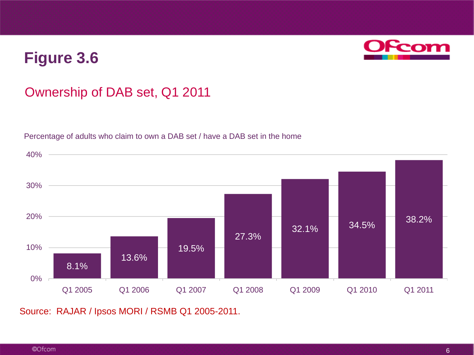

### Ownership of DAB set, Q1 2011

Percentage of adults who claim to own a DAB set / have a DAB set in the home



Source: RAJAR / Ipsos MORI / RSMB Q1 2005-2011.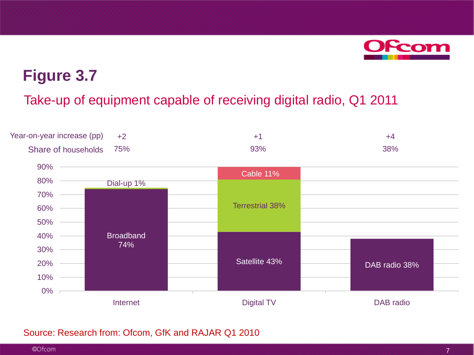

Take-up of equipment capable of receiving digital radio, Q1 2011



#### Source: Research from: Ofcom, GfK and RAJAR Q1 2010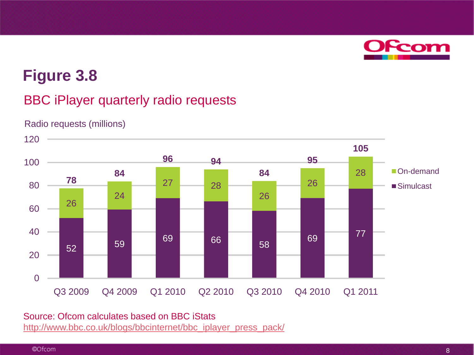

### BBC iPlayer quarterly radio requests



Radio requests (millions)

#### Source: Ofcom calculates based on BBC iStats [http://www.bbc.co.uk/blogs/bbcinternet/bbc\\_iplayer\\_press\\_pack/](http://www.bbc.co.uk/blogs/bbcinternet/bbc_iplayer_press_pack/)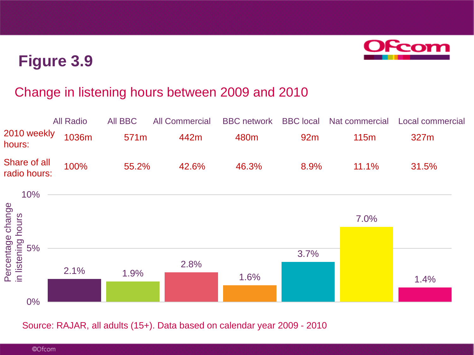

### Change in listening hours between 2009 and 2010

|                             | All Radio         | All BBC          | <b>All Commercial</b> |                  |                 |          | BBC network BBC local Nat commercial Local commercial |
|-----------------------------|-------------------|------------------|-----------------------|------------------|-----------------|----------|-------------------------------------------------------|
| 2010 weekly 1036m<br>hours: |                   | 571 <sub>m</sub> | 442m                  | 480 <sub>m</sub> | 92 <sub>m</sub> | 115m     | 327m                                                  |
| radio hours:                | Share of all 100% | 55.2%            | 42.6%                 | 46.3%            | 8.9%            | $11.1\%$ | 31.5%                                                 |



Source: RAJAR, all adults (15+). Data based on calendar year 2009 - 2010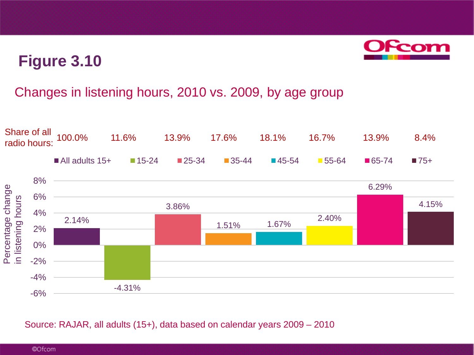

### Changes in listening hours, 2010 vs. 2009, by age group



Source: RAJAR, all adults (15+), data based on calendar years 2009 – 2010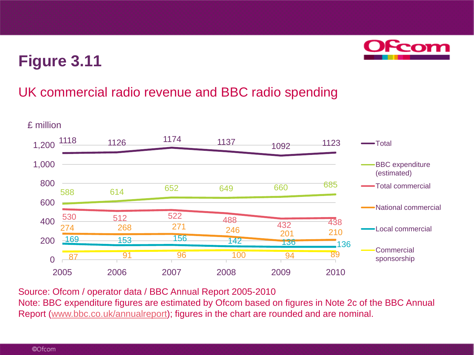

### UK commercial radio revenue and BBC radio spending



Source: Ofcom / operator data / BBC Annual Report 2005-2010

Note: BBC expenditure figures are estimated by Ofcom based on figures in Note 2c of the BBC Annual Report [\(www.bbc.co.uk/annualreport\)](http://www.bbc.co.uk/annualreport); figures in the chart are rounded and are nominal.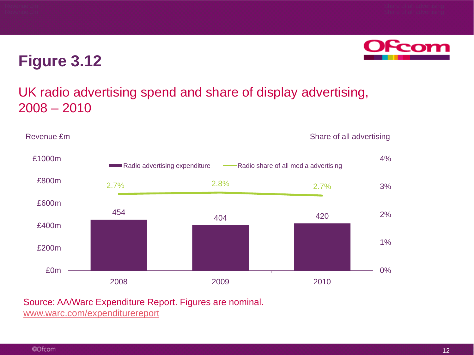

### UK radio advertising spend and share of display advertising, 2008 – 2010

Revenue £m Share of all advertising



Source: AA/Warc Expenditure Report. Figures are nominal.

[www.warc.com/expenditurereport](http://www.warc.com/expenditurereport)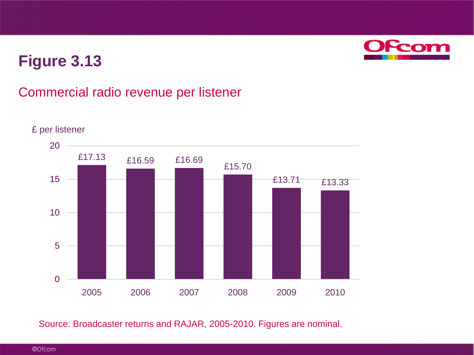

### Commercial radio revenue per listener



#### £ per listener

Source: Broadcaster returns and RAJAR, 2005-2010. Figures are nominal.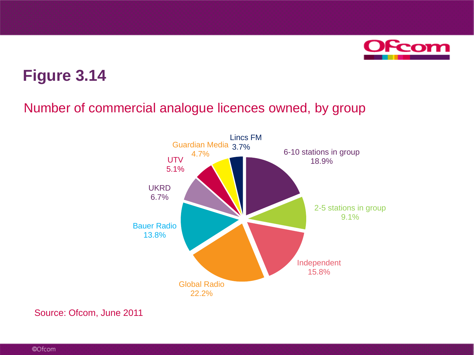

### Number of commercial analogue licences owned, by group



Source: Ofcom, June 2011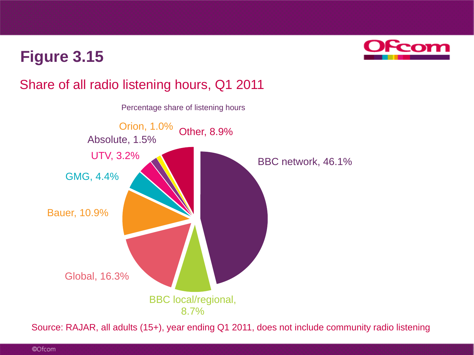

### Share of all radio listening hours, Q1 2011



Source: RAJAR, all adults (15+), year ending Q1 2011, does not include community radio listening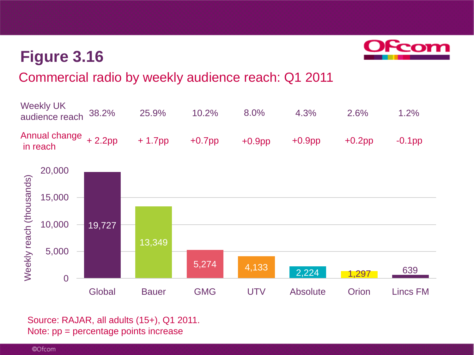

### Commercial radio by weekly audience reach: Q1 2011



Source: RAJAR, all adults (15+), Q1 2011. Note: pp = percentage points increase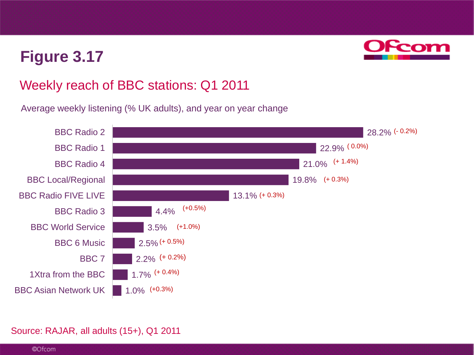

### Weekly reach of BBC stations: Q1 2011

Average weekly listening (% UK adults), and year on year change



#### Source: RAJAR, all adults (15+), Q1 2011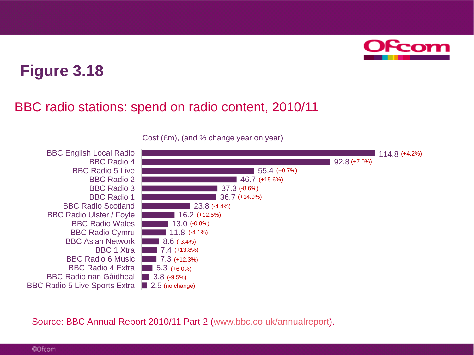

### BBC radio stations: spend on radio content, 2010/11



Cost (£m), (and % change year on year)

Source: BBC Annual Report 2010/11 Part 2 [\(www.bbc.co.uk/annualreport\)](http://www.bbc.co.uk/annualreport).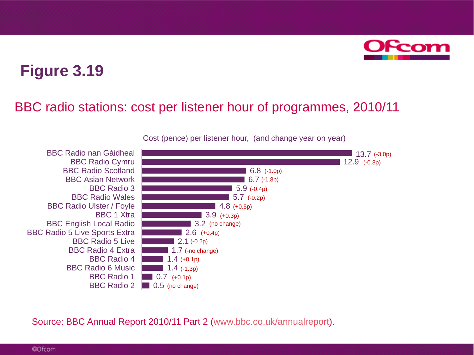

### BBC radio stations: cost per listener hour of programmes, 2010/11



Cost (pence) per listener hour, (and change year on year)

Source: BBC Annual Report 2010/11 Part 2 [\(www.bbc.co.uk/annualreport\)](http://www.bbc.co.uk/annualreport).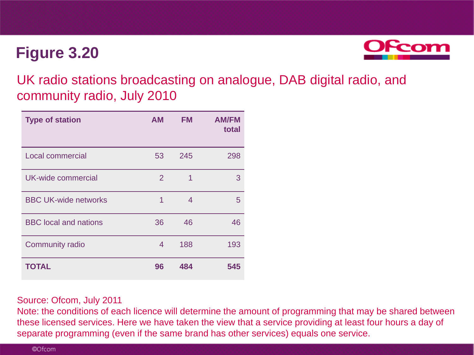

UK radio stations broadcasting on analogue, DAB digital radio, and community radio, July 2010

| <b>Type of station</b>       | <b>AM</b> | FM. | <b>AM/FM</b><br>total |
|------------------------------|-----------|-----|-----------------------|
| Local commercial             | 53        | 245 | 298                   |
| UK-wide commercial           | 2         | 1   | 3                     |
| <b>BBC UK-wide networks</b>  | 1         | 4   | 5                     |
| <b>BBC</b> local and nations | 36        | 46  | 46                    |
| <b>Community radio</b>       | 4         | 188 | 193                   |
| <b>TOTAL</b>                 | 96        | 484 | 545                   |

#### Source: Ofcom, July 2011

Note: the conditions of each licence will determine the amount of programming that may be shared between these licensed services. Here we have taken the view that a service providing at least four hours a day of separate programming (even if the same brand has other services) equals one service.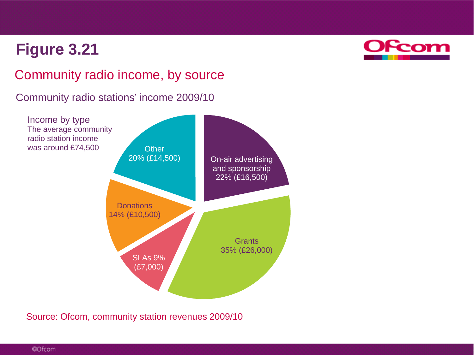

### Community radio income, by source

Community radio stations' income 2009/10



Source: Ofcom, community station revenues 2009/10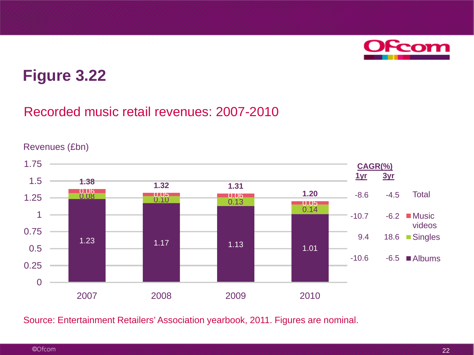

### Recorded music retail revenues: 2007-2010



Source: Entertainment Retailers' Association yearbook, 2011. Figures are nominal.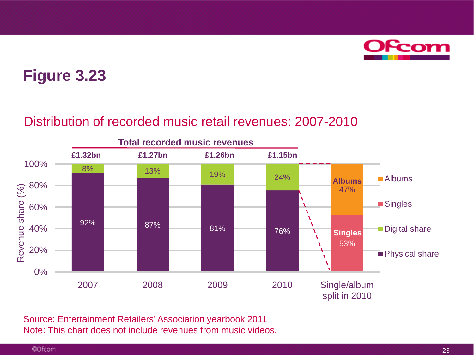

### Distribution of recorded music retail revenues: 2007-2010



Source: Entertainment Retailers' Association yearbook 2011 Note: This chart does not include revenues from music videos.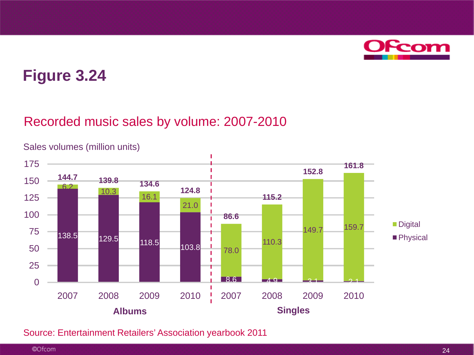

### Recorded music sales by volume: 2007-2010



Sales volumes (million units)

Source: Entertainment Retailers' Association yearbook 2011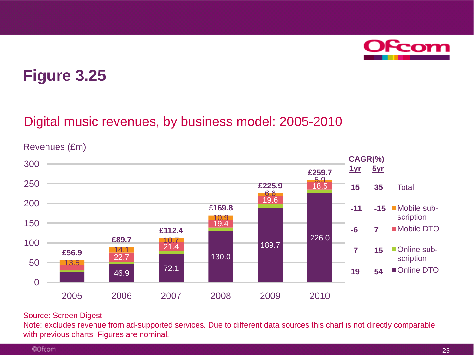

### Digital music revenues, by business model: 2005-2010

Revenues (£m)



#### Source: Screen Digest

Note: excludes revenue from ad-supported services. Due to different data sources this chart is not directly comparable with previous charts. Figures are nominal.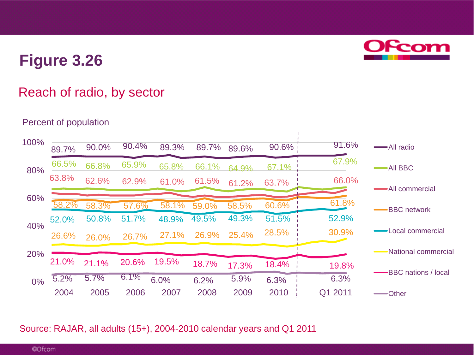# **Ofcom**

## **Figure 3.26**

### Reach of radio, by sector

#### Percent of population

| 100% | 89.7% | 90.0% | 90.4% | 89.3% | 89.7% | 89.6% | $90.6\%$ | 91.6%   | -All radio                 |
|------|-------|-------|-------|-------|-------|-------|----------|---------|----------------------------|
| 80%  | 66.5% | 66.8% | 65.9% | 65.8% | 66.1% | 64.9% | 67.1%    | 67.9%   | <b>AII BBC</b>             |
|      | 63.8% | 62.6% | 62.9% | 61.0% | 61.5% | 61.2% | 63.7%    | 66.0%   | All commercial             |
| 60%  |       |       |       |       |       |       |          | 61.8%   |                            |
|      | 58.2% | 58.3% | 57.6% | 58.1% | 59.0% | 58.5% | 60.6%    |         | <b>BBC</b> network         |
|      | 52.0% | 50.8% | 51.7% | 48.9% | 49.5% | 49.3% | 51.5%    | 52.9%   |                            |
| 40%  | 26.6% | 26.0% | 26.7% | 27.1% | 26.9% | 25.4% | 28.5%    | 30.9%   | Local commercial           |
| 20%  |       |       |       |       |       |       |          |         | National commercial        |
|      | 21.0% | 21.1% | 20.6% | 19.5% | 18.7% | 17.3% | 18.4%    | 19.8%   | <b>BBC</b> nations / local |
| 0%   | 5.2%  | 5.7%  | 6.1%  | 6.0%  | 6.2%  | 5.9%  | 6.3%     | 6.3%    |                            |
|      | 2004  | 2005  | 2006  | 2007  | 2008  | 2009  | 2010     | Q1 2011 | — Other                    |

Source: RAJAR, all adults (15+), 2004-2010 calendar years and Q1 2011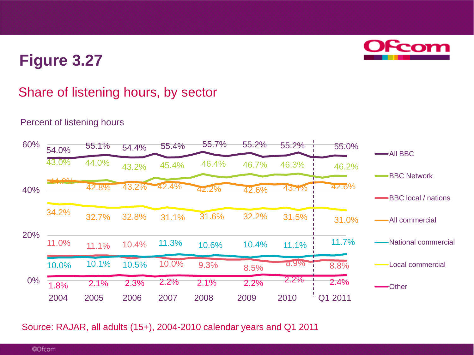### Share of listening hours, by sector

#### 54.0% 55.1% 54.4% 55.4% 55.7% 55.2% 55.2% 55.0%  $\frac{43.0\%}{44.0\%}$   $\frac{43.2\%}{45.4\%}$   $\frac{46.4\%}{46.7\%}$   $\frac{46.3\%}{46.2\%}$   $\frac{46.2\%}{46.2\%}$ 11.0% 11.1% 10.4%  $10.0\%$  9.3% 8.5% 8.9% 8.8%  $42.8\%$  43.2% 42.4% 42.2% 42.6% 43.4% 42.6% 10.0% 10.1% 10.5% 11.3% 10.6% 10.4% 11.1% 11.7% 34.2% 32.7% 32.8% 31.1% 31.6% 32.2% 31.5% 31.0%  $0\%$   $\frac{1.8\%}{1.8\%}$  2.1% 2.3% 2.2% 2.1% 2.2% 2.2% 2.2% 2.4% 20% 40% 60% All BBC BBC Network BBC local / nations All commercial National commercial Local commercial -Other 2004 2005 2006 2007 2008 2009 2010 Q1 2011

### Percent of listening hours

Source: RAJAR, all adults (15+), 2004-2010 calendar years and Q1 2011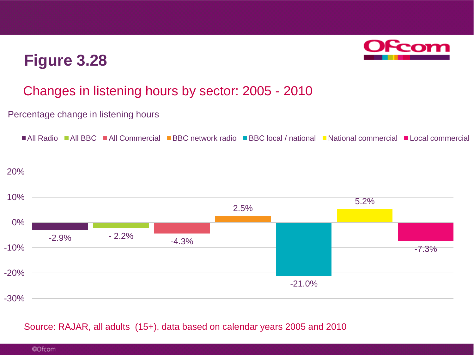

### Changes in listening hours by sector: 2005 - 2010

#### Percentage change in listening hours



#### Source: RAJAR, all adults (15+), data based on calendar years 2005 and 2010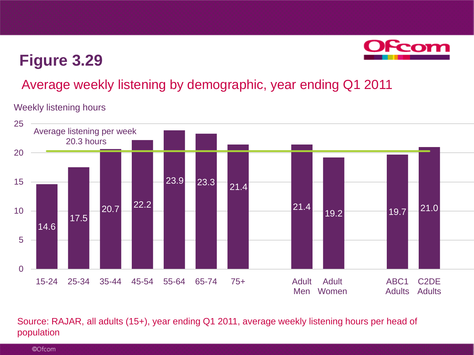

### Average weekly listening by demographic, year ending Q1 2011

#### Weekly listening hours



#### Source: RAJAR, all adults (15+), year ending Q1 2011, average weekly listening hours per head of population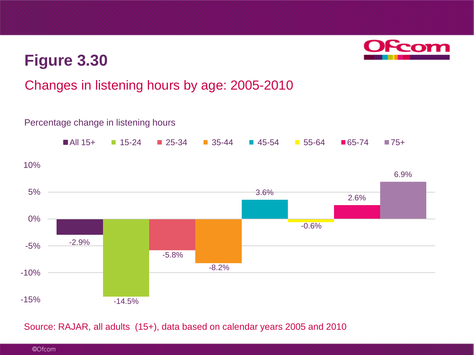

### Changes in listening hours by age: 2005-2010



Source: RAJAR, all adults (15+), data based on calendar years 2005 and 2010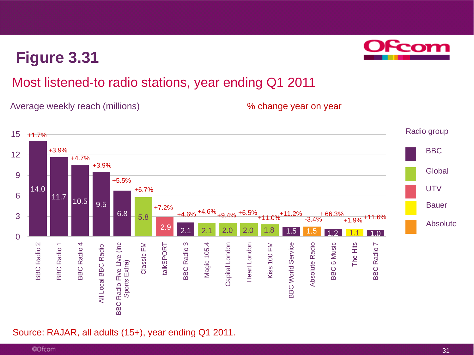### Most listened-to radio stations, year ending Q1 2011

Average weekly reach (millions) Many 1986 Mange year on year



Source: RAJAR, all adults (15+), year ending Q1 2011.

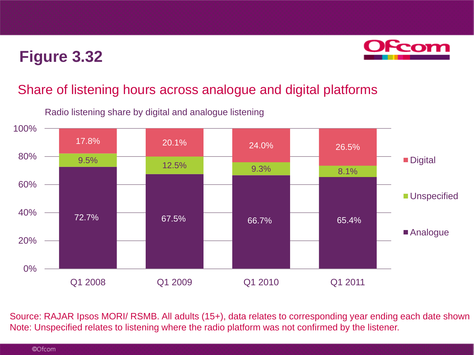

### Share of listening hours across analogue and digital platforms

Radio listening share by digital and analogue listening



Source: RAJAR Ipsos MORI/ RSMB. All adults (15+), data relates to corresponding year ending each date shown Note: Unspecified relates to listening where the radio platform was not confirmed by the listener.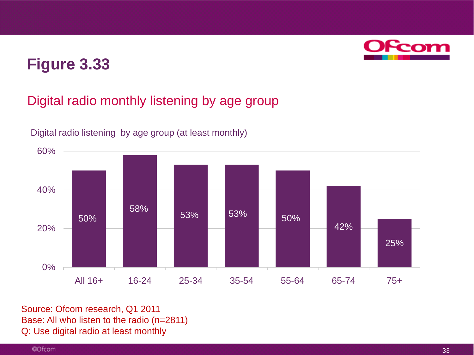

### Digital radio monthly listening by age group



Digital radio listening by age group (at least monthly)

Source: Ofcom research, Q1 2011 Base: All who listen to the radio (n=2811) Q: Use digital radio at least monthly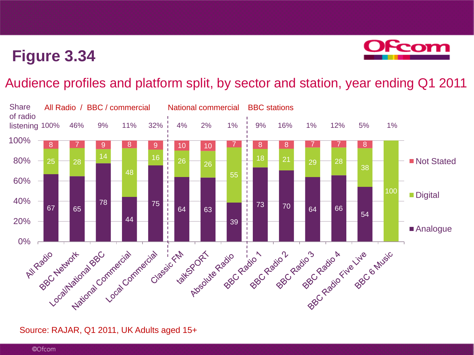

### Audience profiles and platform split, by sector and station, year ending Q1 2011



#### Source: RAJAR, Q1 2011, UK Adults aged 15+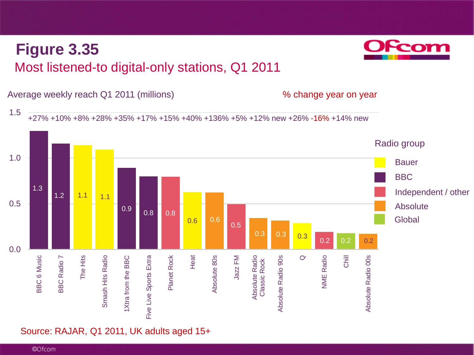

## Most listened-to digital-only stations, Q1 2011 **Figure 3.35**

Source: RAJAR, Q1 2011, UK adults aged 15+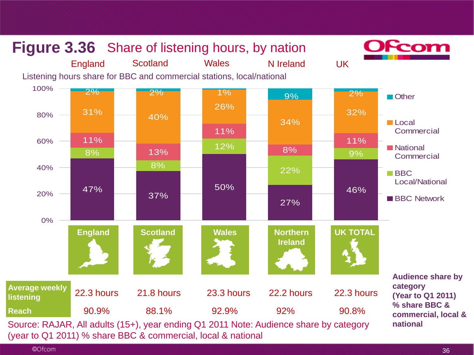

©Ofcom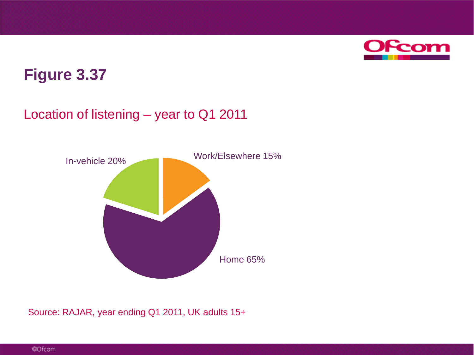

### Location of listening – year to Q1 2011



Source: RAJAR, year ending Q1 2011, UK adults 15+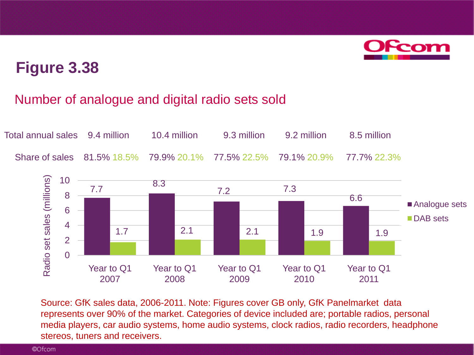

### Number of analogue and digital radio sets sold



Source: GfK sales data, 2006-2011. Note: Figures cover GB only, GfK Panelmarket data represents over 90% of the market. Categories of device included are; portable radios, personal media players, car audio systems, home audio systems, clock radios, radio recorders, headphone stereos, tuners and receivers.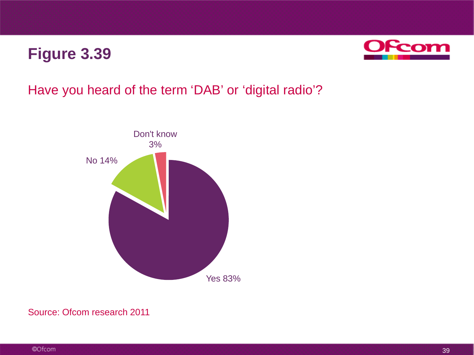

### Have you heard of the term 'DAB' or 'digital radio'?



#### Source: Ofcom research 2011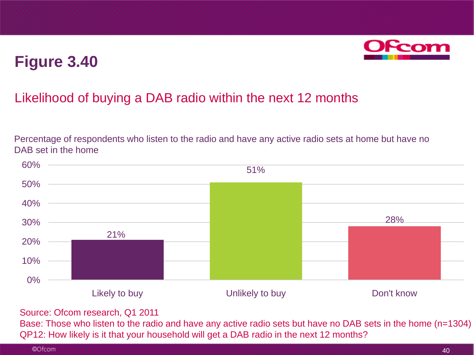

### Likelihood of buying a DAB radio within the next 12 months

Percentage of respondents who listen to the radio and have any active radio sets at home but have no DAB set in the home



Source: Ofcom research, Q1 2011

Base: Those who listen to the radio and have any active radio sets but have no DAB sets in the home (n=1304) QP12: How likely is it that your household will get a DAB radio in the next 12 months?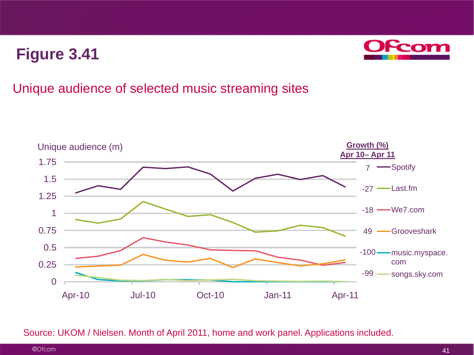![](_page_41_Picture_1.jpeg)

### Unique audience of selected music streaming sites

![](_page_41_Figure_3.jpeg)

Source: UKOM / Nielsen. Month of April 2011, home and work panel. Applications included.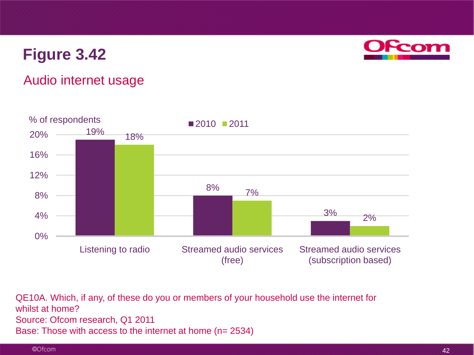![](_page_42_Picture_1.jpeg)

### Audio internet usage

![](_page_42_Figure_3.jpeg)

QE10A. Which, if any, of these do you or members of your household use the internet for whilst at home? Source: Ofcom research, Q1 2011 Base: Those with access to the internet at home (n= 2534)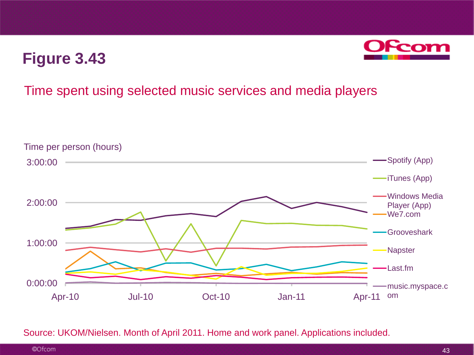![](_page_43_Picture_1.jpeg)

### Time spent using selected music services and media players

![](_page_43_Figure_3.jpeg)

Source: UKOM/Nielsen. Month of April 2011. Home and work panel. Applications included.